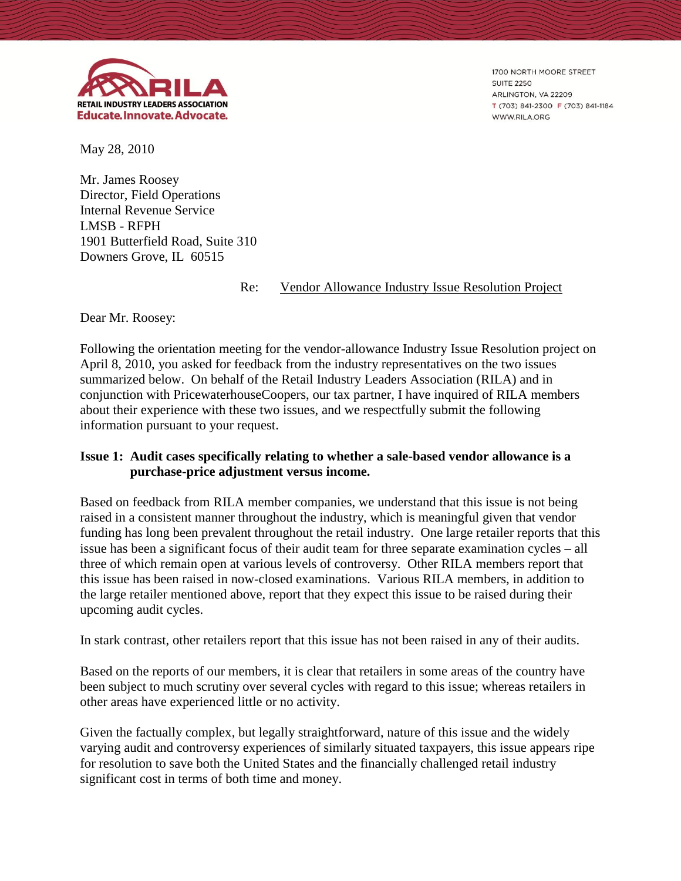

1700 NORTH MOORE STREET **SUITE 2250** ARLINGTON, VA 22209 T (703) 841-2300 F (703) 841-1184 WWW.RILA.ORG

May 28, 2010

Mr. James Roosey Director, Field Operations Internal Revenue Service LMSB - RFPH 1901 Butterfield Road, Suite 310 Downers Grove, IL 60515

Re: Vendor Allowance Industry Issue Resolution Project

Dear Mr. Roosey:

Following the orientation meeting for the vendor-allowance Industry Issue Resolution project on April 8, 2010, you asked for feedback from the industry representatives on the two issues summarized below. On behalf of the Retail Industry Leaders Association (RILA) and in conjunction with PricewaterhouseCoopers, our tax partner, I have inquired of RILA members about their experience with these two issues, and we respectfully submit the following information pursuant to your request.

## **Issue 1: Audit cases specifically relating to whether a sale-based vendor allowance is a purchase-price adjustment versus income.**

Based on feedback from RILA member companies, we understand that this issue is not being raised in a consistent manner throughout the industry, which is meaningful given that vendor funding has long been prevalent throughout the retail industry. One large retailer reports that this issue has been a significant focus of their audit team for three separate examination cycles – all three of which remain open at various levels of controversy. Other RILA members report that this issue has been raised in now-closed examinations. Various RILA members, in addition to the large retailer mentioned above, report that they expect this issue to be raised during their upcoming audit cycles.

In stark contrast, other retailers report that this issue has not been raised in any of their audits.

Based on the reports of our members, it is clear that retailers in some areas of the country have been subject to much scrutiny over several cycles with regard to this issue; whereas retailers in other areas have experienced little or no activity.

Given the factually complex, but legally straightforward, nature of this issue and the widely varying audit and controversy experiences of similarly situated taxpayers, this issue appears ripe for resolution to save both the United States and the financially challenged retail industry significant cost in terms of both time and money.